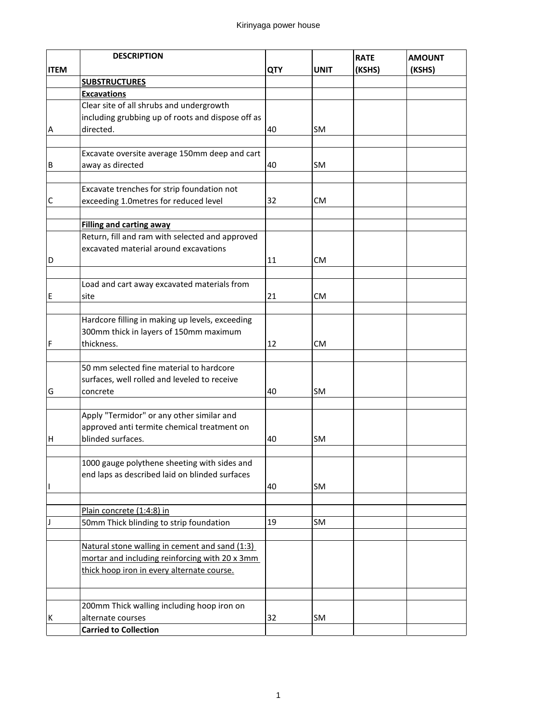|             | <b>DESCRIPTION</b>                                  |            |           | <b>RATE</b> | <b>AMOUNT</b> |
|-------------|-----------------------------------------------------|------------|-----------|-------------|---------------|
| <b>ITEM</b> |                                                     | <b>QTY</b> | UNIT      | (KSHS)      | (KSHS)        |
|             | <b>SUBSTRUCTURES</b>                                |            |           |             |               |
|             | <b>Excavations</b>                                  |            |           |             |               |
|             | Clear site of all shrubs and undergrowth            |            |           |             |               |
|             | including grubbing up of roots and dispose off as   |            |           |             |               |
| Α           | directed.                                           | 40         | SM        |             |               |
|             |                                                     |            |           |             |               |
|             | Excavate oversite average 150mm deep and cart       |            |           |             |               |
| B           | away as directed                                    | 40         | SM        |             |               |
|             |                                                     |            |           |             |               |
|             | Excavate trenches for strip foundation not          |            |           |             |               |
| С           | exceeding 1.0metres for reduced level               | 32         | СM        |             |               |
|             |                                                     |            |           |             |               |
|             | <b>Filling and carting away</b>                     |            |           |             |               |
|             | Return, fill and ram with selected and approved     |            |           |             |               |
|             | excavated material around excavations               |            |           |             |               |
| D           |                                                     | 11         | СM        |             |               |
|             |                                                     |            |           |             |               |
| E           | Load and cart away excavated materials from<br>site | 21         | СM        |             |               |
|             |                                                     |            |           |             |               |
|             | Hardcore filling in making up levels, exceeding     |            |           |             |               |
|             | 300mm thick in layers of 150mm maximum              |            |           |             |               |
| $\mathsf F$ | thickness.                                          | 12         | СM        |             |               |
|             |                                                     |            |           |             |               |
|             | 50 mm selected fine material to hardcore            |            |           |             |               |
|             | surfaces, well rolled and leveled to receive        |            |           |             |               |
| G           | concrete                                            | 40         | SM        |             |               |
|             |                                                     |            |           |             |               |
|             | Apply "Termidor" or any other similar and           |            |           |             |               |
|             | approved anti termite chemical treatment on         |            |           |             |               |
| н           | blinded surfaces.                                   | 40         | <b>SM</b> |             |               |
|             |                                                     |            |           |             |               |
|             | 1000 gauge polythene sheeting with sides and        |            |           |             |               |
|             | end laps as described laid on blinded surfaces      |            |           |             |               |
| 1           |                                                     | 40         | SM        |             |               |
|             | Plain concrete (1:4:8) in                           |            |           |             |               |
|             | 50mm Thick blinding to strip foundation             | 19         | SM        |             |               |
|             |                                                     |            |           |             |               |
|             | Natural stone walling in cement and sand (1:3)      |            |           |             |               |
|             | mortar and including reinforcing with 20 x 3mm      |            |           |             |               |
|             | thick hoop iron in every alternate course.          |            |           |             |               |
|             |                                                     |            |           |             |               |
|             |                                                     |            |           |             |               |
|             | 200mm Thick walling including hoop iron on          |            |           |             |               |
| К           | alternate courses                                   | 32         | SM        |             |               |
|             | <b>Carried to Collection</b>                        |            |           |             |               |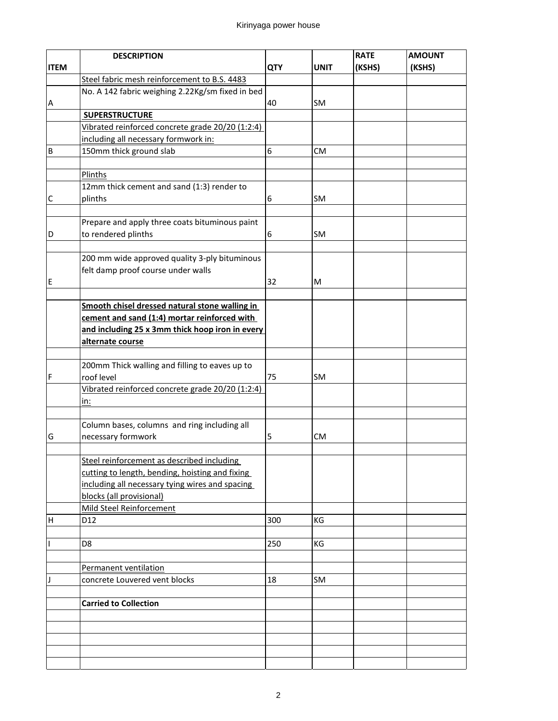## Kirinyaga power house

|             | <b>DESCRIPTION</b>                               |            |             | <b>RATE</b> | <b>AMOUNT</b> |
|-------------|--------------------------------------------------|------------|-------------|-------------|---------------|
| <b>ITEM</b> |                                                  | <b>QTY</b> | <b>UNIT</b> | (KSHS)      | (KSHS)        |
|             | Steel fabric mesh reinforcement to B.S. 4483     |            |             |             |               |
|             | No. A 142 fabric weighing 2.22Kg/sm fixed in bed |            |             |             |               |
| A           |                                                  | 40         | SM          |             |               |
|             | <b>SUPERSTRUCTURE</b>                            |            |             |             |               |
|             | Vibrated reinforced concrete grade 20/20 (1:2:4) |            |             |             |               |
|             | including all necessary formwork in:             |            |             |             |               |
| B           | 150mm thick ground slab                          | 6          | <b>CM</b>   |             |               |
|             |                                                  |            |             |             |               |
|             | Plinths                                          |            |             |             |               |
|             | 12mm thick cement and sand (1:3) render to       |            |             |             |               |
| C           | plinths                                          | 6          | SM          |             |               |
|             |                                                  |            |             |             |               |
|             | Prepare and apply three coats bituminous paint   |            |             |             |               |
| D           | to rendered plinths                              | 6          | SM          |             |               |
|             |                                                  |            |             |             |               |
|             | 200 mm wide approved quality 3-ply bituminous    |            |             |             |               |
|             | felt damp proof course under walls               |            |             |             |               |
| E           |                                                  | 32         | м           |             |               |
|             |                                                  |            |             |             |               |
|             | Smooth chisel dressed natural stone walling in   |            |             |             |               |
|             | cement and sand (1:4) mortar reinforced with     |            |             |             |               |
|             | and including 25 x 3mm thick hoop iron in every  |            |             |             |               |
|             | alternate course                                 |            |             |             |               |
|             |                                                  |            |             |             |               |
|             | 200mm Thick walling and filling to eaves up to   |            |             |             |               |
| F           | roof level                                       | 75         | SM          |             |               |
|             | Vibrated reinforced concrete grade 20/20 (1:2:4) |            |             |             |               |
|             | <u>in:</u>                                       |            |             |             |               |
|             | Column bases, columns and ring including all     |            |             |             |               |
| G           | necessary formwork                               | 5          | <b>CM</b>   |             |               |
|             |                                                  |            |             |             |               |
|             | Steel reinforcement as described including       |            |             |             |               |
|             | cutting to length, bending, hoisting and fixing  |            |             |             |               |
|             | including all necessary tying wires and spacing  |            |             |             |               |
|             | blocks (all provisional)                         |            |             |             |               |
|             | <b>Mild Steel Reinforcement</b>                  |            |             |             |               |
| H           | D <sub>12</sub>                                  | 300        | KG          |             |               |
|             |                                                  |            |             |             |               |
| T           | D <sub>8</sub>                                   | 250        | ΚG          |             |               |
|             |                                                  |            |             |             |               |
|             | Permanent ventilation                            |            |             |             |               |
| J           | concrete Louvered vent blocks                    | 18         | SM          |             |               |
|             |                                                  |            |             |             |               |
|             | <b>Carried to Collection</b>                     |            |             |             |               |
|             |                                                  |            |             |             |               |
|             |                                                  |            |             |             |               |
|             |                                                  |            |             |             |               |
|             |                                                  |            |             |             |               |
|             |                                                  |            |             |             |               |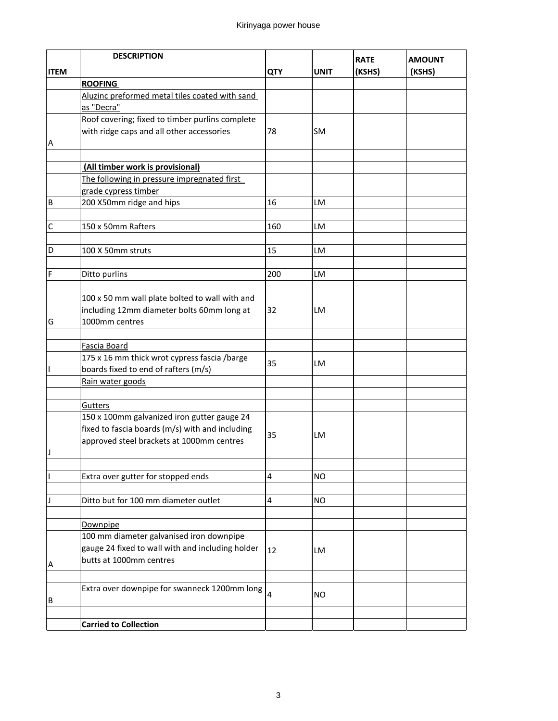|             | <b>DESCRIPTION</b>                               |            |             |             |               |
|-------------|--------------------------------------------------|------------|-------------|-------------|---------------|
|             |                                                  |            |             | <b>RATE</b> | <b>AMOUNT</b> |
| <b>ITEM</b> |                                                  | <b>QTY</b> | <b>UNIT</b> | (KSHS)      | (KSHS)        |
|             | <b>ROOFING</b>                                   |            |             |             |               |
|             | Aluzinc preformed metal tiles coated with sand   |            |             |             |               |
|             | as "Decra"                                       |            |             |             |               |
|             | Roof covering; fixed to timber purlins complete  |            |             |             |               |
|             | with ridge caps and all other accessories        | 78         | SM          |             |               |
| Α           |                                                  |            |             |             |               |
|             |                                                  |            |             |             |               |
|             | (All timber work is provisional)                 |            |             |             |               |
|             | The following in pressure impregnated first      |            |             |             |               |
|             | grade cypress timber                             |            |             |             |               |
| B           | 200 X50mm ridge and hips                         | 16         | LM          |             |               |
|             |                                                  |            |             |             |               |
| С           | 150 x 50mm Rafters                               | 160        | LM          |             |               |
|             |                                                  |            |             |             |               |
| D           | 100 X 50mm struts                                | 15         | LM          |             |               |
|             |                                                  |            |             |             |               |
| F           | Ditto purlins                                    | 200        | LM          |             |               |
|             |                                                  |            |             |             |               |
|             | 100 x 50 mm wall plate bolted to wall with and   |            |             |             |               |
|             | including 12mm diameter bolts 60mm long at       | 32         | LM          |             |               |
| G           | 1000mm centres                                   |            |             |             |               |
|             |                                                  |            |             |             |               |
|             | Fascia Board                                     |            |             |             |               |
|             | 175 x 16 mm thick wrot cypress fascia /barge     |            |             |             |               |
|             | boards fixed to end of rafters (m/s)             | 35         | LM          |             |               |
|             | Rain water goods                                 |            |             |             |               |
|             |                                                  |            |             |             |               |
|             | Gutters                                          |            |             |             |               |
|             | 150 x 100mm galvanized iron gutter gauge 24      |            |             |             |               |
|             | fixed to fascia boards (m/s) with and including  |            |             |             |               |
|             | approved steel brackets at 1000mm centres        | 35         | LM          |             |               |
|             |                                                  |            |             |             |               |
|             |                                                  |            |             |             |               |
|             |                                                  | 4          | NO          |             |               |
|             | Extra over gutter for stopped ends               |            |             |             |               |
| J           | Ditto but for 100 mm diameter outlet             | 4          |             |             |               |
|             |                                                  |            | NO          |             |               |
|             |                                                  |            |             |             |               |
|             | Downpipe                                         |            |             |             |               |
|             | 100 mm diameter galvanised iron downpipe         |            |             |             |               |
|             | gauge 24 fixed to wall with and including holder | 12         | LM          |             |               |
| Α           | butts at 1000mm centres                          |            |             |             |               |
|             |                                                  |            |             |             |               |
|             | Extra over downpipe for swanneck 1200mm long     |            |             |             |               |
| В           |                                                  | 4          | NO.         |             |               |
|             |                                                  |            |             |             |               |
|             | <b>Carried to Collection</b>                     |            |             |             |               |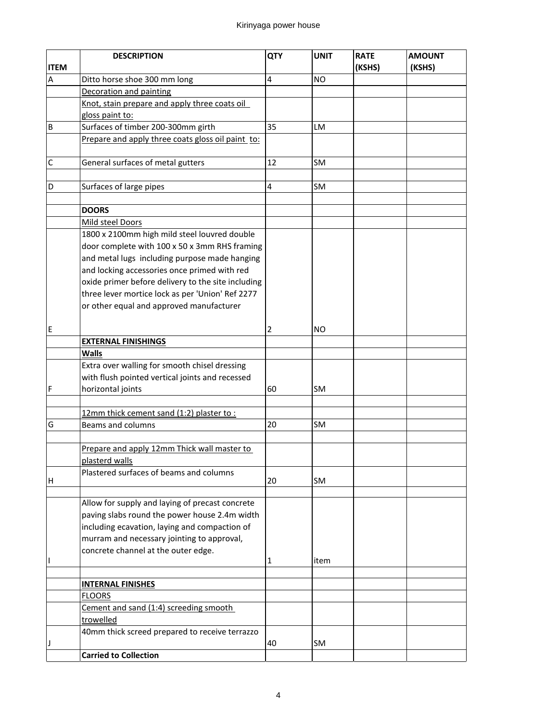|             | <b>DESCRIPTION</b>                                 | QTY            | <b>UNIT</b> | <b>RATE</b> | <b>AMOUNT</b> |
|-------------|----------------------------------------------------|----------------|-------------|-------------|---------------|
| <b>ITEM</b> |                                                    |                |             | (KSHS)      | (KSHS)        |
| A           | Ditto horse shoe 300 mm long                       | 4              | <b>NO</b>   |             |               |
|             | Decoration and painting                            |                |             |             |               |
|             | Knot, stain prepare and apply three coats oil      |                |             |             |               |
|             | gloss paint to:                                    |                |             |             |               |
| B           | Surfaces of timber 200-300mm girth                 | 35             | LM          |             |               |
|             | Prepare and apply three coats gloss oil paint to:  |                |             |             |               |
|             |                                                    |                |             |             |               |
| С           | General surfaces of metal gutters                  | 12             | <b>SM</b>   |             |               |
|             |                                                    |                |             |             |               |
| D           | Surfaces of large pipes                            | 4              | <b>SM</b>   |             |               |
|             |                                                    |                |             |             |               |
|             | <b>DOORS</b>                                       |                |             |             |               |
|             | Mild steel Doors                                   |                |             |             |               |
|             | 1800 x 2100mm high mild steel louvred double       |                |             |             |               |
|             | door complete with 100 x 50 x 3mm RHS framing      |                |             |             |               |
|             | and metal lugs including purpose made hanging      |                |             |             |               |
|             | and locking accessories once primed with red       |                |             |             |               |
|             | oxide primer before delivery to the site including |                |             |             |               |
|             | three lever mortice lock as per 'Union' Ref 2277   |                |             |             |               |
|             | or other equal and approved manufacturer           |                |             |             |               |
|             |                                                    |                |             |             |               |
| E           |                                                    | $\overline{2}$ | ΝO          |             |               |
|             | <b>EXTERNAL FINISHINGS</b>                         |                |             |             |               |
|             | <b>Walls</b>                                       |                |             |             |               |
|             | Extra over walling for smooth chisel dressing      |                |             |             |               |
|             | with flush pointed vertical joints and recessed    |                |             |             |               |
| F           | horizontal joints                                  | 60             | <b>SM</b>   |             |               |
|             |                                                    |                |             |             |               |
|             | 12mm thick cement sand (1:2) plaster to:           |                |             |             |               |
| G           | Beams and columns                                  | 20             | SM          |             |               |
|             |                                                    |                |             |             |               |
|             | Prepare and apply 12mm Thick wall master to        |                |             |             |               |
|             | plasterd walls                                     |                |             |             |               |
|             | Plastered surfaces of beams and columns            |                |             |             |               |
| Η           |                                                    | 20             | SM          |             |               |
|             | Allow for supply and laying of precast concrete    |                |             |             |               |
|             | paving slabs round the power house 2.4m width      |                |             |             |               |
|             | including ecavation, laying and compaction of      |                |             |             |               |
|             | murram and necessary jointing to approval,         |                |             |             |               |
|             | concrete channel at the outer edge.                |                |             |             |               |
|             |                                                    | 1              | item        |             |               |
|             |                                                    |                |             |             |               |
|             | <b>INTERNAL FINISHES</b>                           |                |             |             |               |
|             | <b>FLOORS</b>                                      |                |             |             |               |
|             | Cement and sand (1:4) screeding smooth             |                |             |             |               |
|             | trowelled                                          |                |             |             |               |
|             | 40mm thick screed prepared to receive terrazzo     |                |             |             |               |
|             |                                                    | 40             | SM          |             |               |
|             | <b>Carried to Collection</b>                       |                |             |             |               |